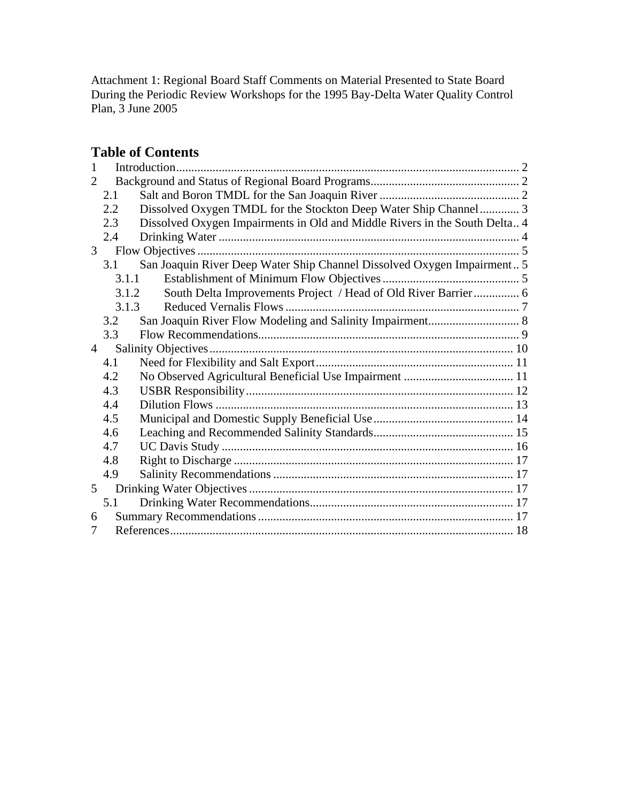# **Table of Contents**

| 1                     |       |                                                                            |  |  |
|-----------------------|-------|----------------------------------------------------------------------------|--|--|
| $\mathcal{D}_{\cdot}$ |       |                                                                            |  |  |
|                       | 2.1   |                                                                            |  |  |
|                       | 2.2   | Dissolved Oxygen TMDL for the Stockton Deep Water Ship Channel 3           |  |  |
|                       | 2.3   | Dissolved Oxygen Impairments in Old and Middle Rivers in the South Delta 4 |  |  |
|                       | 2.4   |                                                                            |  |  |
| 3 <sup>7</sup>        |       |                                                                            |  |  |
|                       | 3.1   | San Joaquin River Deep Water Ship Channel Dissolved Oxygen Impairment 5    |  |  |
|                       | 3.1.1 |                                                                            |  |  |
| 3.1.2                 |       | South Delta Improvements Project / Head of Old River Barrier 6             |  |  |
| 3.1.3                 |       |                                                                            |  |  |
|                       | 3.2   |                                                                            |  |  |
|                       | 3.3   |                                                                            |  |  |
| $\overline{4}$        |       |                                                                            |  |  |
|                       | 4.1   |                                                                            |  |  |
|                       | 4.2   |                                                                            |  |  |
| 4.3                   |       |                                                                            |  |  |
|                       | 4.4   |                                                                            |  |  |
|                       | 4.5   |                                                                            |  |  |
|                       | 4.6   |                                                                            |  |  |
|                       | 4.7   |                                                                            |  |  |
|                       | 4.8   |                                                                            |  |  |
|                       | 4.9   |                                                                            |  |  |
| 5 <sup>7</sup>        |       |                                                                            |  |  |
|                       | 5.1   |                                                                            |  |  |
| 6                     |       |                                                                            |  |  |
| 7                     |       |                                                                            |  |  |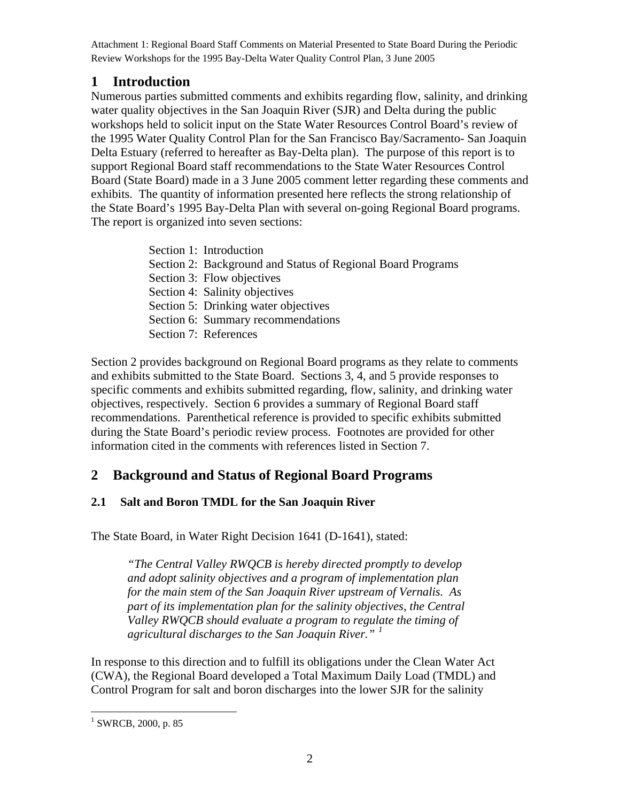## <span id="page-1-0"></span>**1 Introduction**

Numerous parties submitted comments and exhibits regarding flow, salinity, and drinking water quality objectives in the San Joaquin River (SJR) and Delta during the public workshops held to solicit input on the State Water Resources Control Board's review of the 1995 Water Quality Control Plan for the San Francisco Bay/Sacramento- San Joaquin Delta Estuary (referred to hereafter as Bay-Delta plan). The purpose of this report is to support Regional Board staff recommendations to the State Water Resources Control Board (State Board) made in a 3 June 2005 comment letter regarding these comments and exhibits. The quantity of information presented here reflects the strong relationship of the State Board's 1995 Bay-Delta Plan with several on-going Regional Board programs. The report is organized into seven sections:

| Section 1: Introduction                                     |
|-------------------------------------------------------------|
| Section 2: Background and Status of Regional Board Programs |
| Section 3: Flow objectives                                  |
| Section 4: Salinity objectives                              |
| Section 5: Drinking water objectives                        |
| Section 6: Summary recommendations                          |
| Section 7: References                                       |

Section 2 provides background on Regional Board programs as they relate to comments and exhibits submitted to the State Board. Sections 3, 4, and 5 provide responses to specific comments and exhibits submitted regarding, flow, salinity, and drinking water objectives, respectively. Section 6 provides a summary of Regional Board staff recommendations. Parenthetical reference is provided to specific exhibits submitted during the State Board's periodic review process. Footnotes are provided for other information cited in the comments with references listed in Section 7.

# **2 Background and Status of Regional Board Programs**

## **2.1 Salt and Boron TMDL for the San Joaquin River**

The State Board, in Water Right Decision 1641 (D-1641), stated:

*"The Central Valley RWQCB is hereby directed promptly to develop and adopt salinity objectives and a program of implementation plan for the main stem of the San Joaquin River upstream of Vernalis. As part of its implementation plan for the salinity objectives, the Central Valley RWQCB should evaluate a program to regulate the timing of agricultural discharges to the San Joaquin River." [1](#page-1-1)*

In response to this direction and to fulfill its obligations under the Clean Water Act (CWA), the Regional Board developed a Total Maximum Daily Load (TMDL) and Control Program for salt and boron discharges into the lower SJR for the salinity

<span id="page-1-1"></span><sup>&</sup>lt;sup>1</sup> SWRCB, 2000, p. 85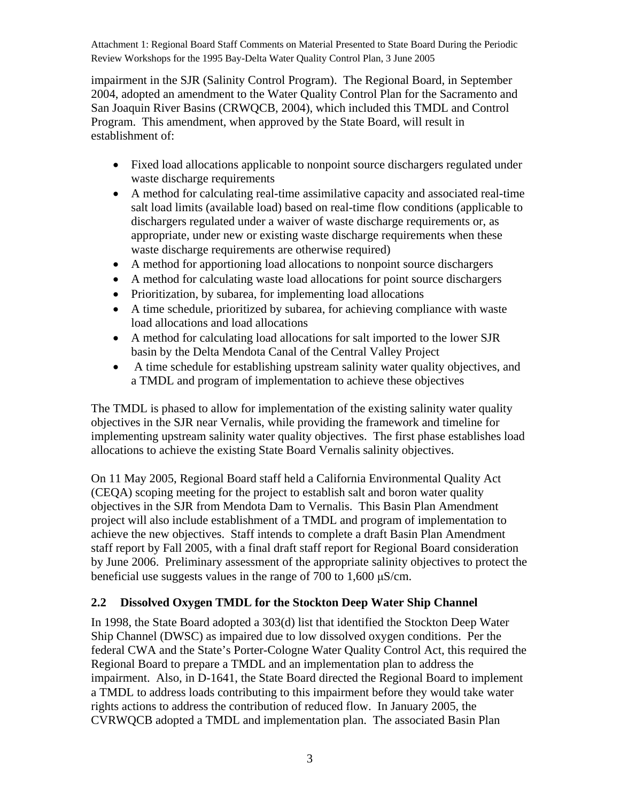<span id="page-2-0"></span>impairment in the SJR (Salinity Control Program). The Regional Board, in September 2004, adopted an amendment to the Water Quality Control Plan for the Sacramento and San Joaquin River Basins (CRWQCB, 2004), which included this TMDL and Control Program. This amendment, when approved by the State Board, will result in establishment of:

- Fixed load allocations applicable to nonpoint source dischargers regulated under waste discharge requirements
- A method for calculating real-time assimilative capacity and associated real-time salt load limits (available load) based on real-time flow conditions (applicable to dischargers regulated under a waiver of waste discharge requirements or, as appropriate, under new or existing waste discharge requirements when these waste discharge requirements are otherwise required)
- A method for apportioning load allocations to nonpoint source dischargers
- A method for calculating waste load allocations for point source dischargers
- Prioritization, by subarea, for implementing load allocations
- A time schedule, prioritized by subarea, for achieving compliance with waste load allocations and load allocations
- A method for calculating load allocations for salt imported to the lower SJR basin by the Delta Mendota Canal of the Central Valley Project
- A time schedule for establishing upstream salinity water quality objectives, and a TMDL and program of implementation to achieve these objectives

The TMDL is phased to allow for implementation of the existing salinity water quality objectives in the SJR near Vernalis, while providing the framework and timeline for implementing upstream salinity water quality objectives. The first phase establishes load allocations to achieve the existing State Board Vernalis salinity objectives.

On 11 May 2005, Regional Board staff held a California Environmental Quality Act (CEQA) scoping meeting for the project to establish salt and boron water quality objectives in the SJR from Mendota Dam to Vernalis. This Basin Plan Amendment project will also include establishment of a TMDL and program of implementation to achieve the new objectives. Staff intends to complete a draft Basin Plan Amendment staff report by Fall 2005, with a final draft staff report for Regional Board consideration by June 2006. Preliminary assessment of the appropriate salinity objectives to protect the beneficial use suggests values in the range of 700 to 1,600 μS/cm.

### **2.2 Dissolved Oxygen TMDL for the Stockton Deep Water Ship Channel**

In 1998, the State Board adopted a 303(d) list that identified the Stockton Deep Water Ship Channel (DWSC) as impaired due to low dissolved oxygen conditions. Per the federal CWA and the State's Porter-Cologne Water Quality Control Act, this required the Regional Board to prepare a TMDL and an implementation plan to address the impairment. Also, in D-1641, the State Board directed the Regional Board to implement a TMDL to address loads contributing to this impairment before they would take water rights actions to address the contribution of reduced flow. In January 2005, the CVRWQCB adopted a TMDL and implementation plan. The associated Basin Plan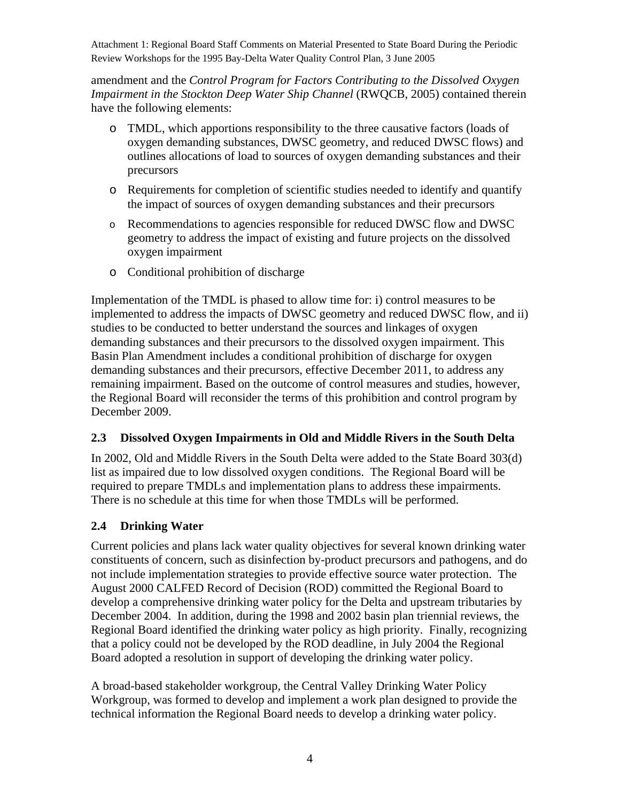<span id="page-3-0"></span>amendment and the *Control Program for Factors Contributing to the Dissolved Oxygen Impairment in the Stockton Deep Water Ship Channel* (RWQCB, 2005) contained therein have the following elements:

- o TMDL, which apportions responsibility to the three causative factors (loads of oxygen demanding substances, DWSC geometry, and reduced DWSC flows) and outlines allocations of load to sources of oxygen demanding substances and their precursors
- o Requirements for completion of scientific studies needed to identify and quantify the impact of sources of oxygen demanding substances and their precursors
- o Recommendations to agencies responsible for reduced DWSC flow and DWSC geometry to address the impact of existing and future projects on the dissolved oxygen impairment
- o Conditional prohibition of discharge

Implementation of the TMDL is phased to allow time for: i) control measures to be implemented to address the impacts of DWSC geometry and reduced DWSC flow, and ii) studies to be conducted to better understand the sources and linkages of oxygen demanding substances and their precursors to the dissolved oxygen impairment. This Basin Plan Amendment includes a conditional prohibition of discharge for oxygen demanding substances and their precursors, effective December 2011, to address any remaining impairment. Based on the outcome of control measures and studies, however, the Regional Board will reconsider the terms of this prohibition and control program by December 2009.

### **2.3 Dissolved Oxygen Impairments in Old and Middle Rivers in the South Delta**

In 2002, Old and Middle Rivers in the South Delta were added to the State Board 303(d) list as impaired due to low dissolved oxygen conditions. The Regional Board will be required to prepare TMDLs and implementation plans to address these impairments. There is no schedule at this time for when those TMDLs will be performed.

### **2.4 Drinking Water**

Current policies and plans lack water quality objectives for several known drinking water constituents of concern, such as disinfection by-product precursors and pathogens, and do not include implementation strategies to provide effective source water protection. The August 2000 CALFED Record of Decision (ROD) committed the Regional Board to develop a comprehensive drinking water policy for the Delta and upstream tributaries by December 2004. In addition, during the 1998 and 2002 basin plan triennial reviews, the Regional Board identified the drinking water policy as high priority. Finally, recognizing that a policy could not be developed by the ROD deadline, in July 2004 the Regional Board adopted a resolution in support of developing the drinking water policy.

A broad-based stakeholder workgroup, the Central Valley Drinking Water Policy Workgroup, was formed to develop and implement a work plan designed to provide the technical information the Regional Board needs to develop a drinking water policy.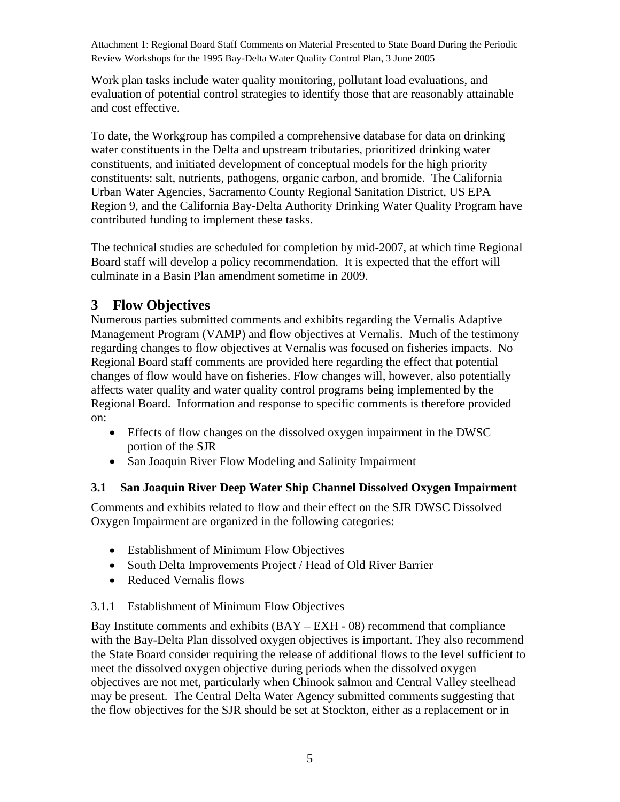<span id="page-4-0"></span>Work plan tasks include water quality monitoring, pollutant load evaluations, and evaluation of potential control strategies to identify those that are reasonably attainable and cost effective.

To date, the Workgroup has compiled a comprehensive database for data on drinking water constituents in the Delta and upstream tributaries, prioritized drinking water constituents, and initiated development of conceptual models for the high priority constituents: salt, nutrients, pathogens, organic carbon, and bromide. The California Urban Water Agencies, Sacramento County Regional Sanitation District, US EPA Region 9, and the California Bay-Delta Authority Drinking Water Quality Program have contributed funding to implement these tasks.

The technical studies are scheduled for completion by mid-2007, at which time Regional Board staff will develop a policy recommendation. It is expected that the effort will culminate in a Basin Plan amendment sometime in 2009.

# **3 Flow Objectives**

Numerous parties submitted comments and exhibits regarding the Vernalis Adaptive Management Program (VAMP) and flow objectives at Vernalis. Much of the testimony regarding changes to flow objectives at Vernalis was focused on fisheries impacts. No Regional Board staff comments are provided here regarding the effect that potential changes of flow would have on fisheries. Flow changes will, however, also potentially affects water quality and water quality control programs being implemented by the Regional Board. Information and response to specific comments is therefore provided on:

- Effects of flow changes on the dissolved oxygen impairment in the DWSC portion of the SJR
- San Joaquin River Flow Modeling and Salinity Impairment

## **3.1 San Joaquin River Deep Water Ship Channel Dissolved Oxygen Impairment**

Comments and exhibits related to flow and their effect on the SJR DWSC Dissolved Oxygen Impairment are organized in the following categories:

- Establishment of Minimum Flow Objectives
- South Delta Improvements Project / Head of Old River Barrier
- Reduced Vernalis flows

## 3.1.1 Establishment of Minimum Flow Objectives

Bay Institute comments and exhibits (BAY – EXH - 08) recommend that compliance with the Bay-Delta Plan dissolved oxygen objectives is important. They also recommend the State Board consider requiring the release of additional flows to the level sufficient to meet the dissolved oxygen objective during periods when the dissolved oxygen objectives are not met, particularly when Chinook salmon and Central Valley steelhead may be present. The Central Delta Water Agency submitted comments suggesting that the flow objectives for the SJR should be set at Stockton, either as a replacement or in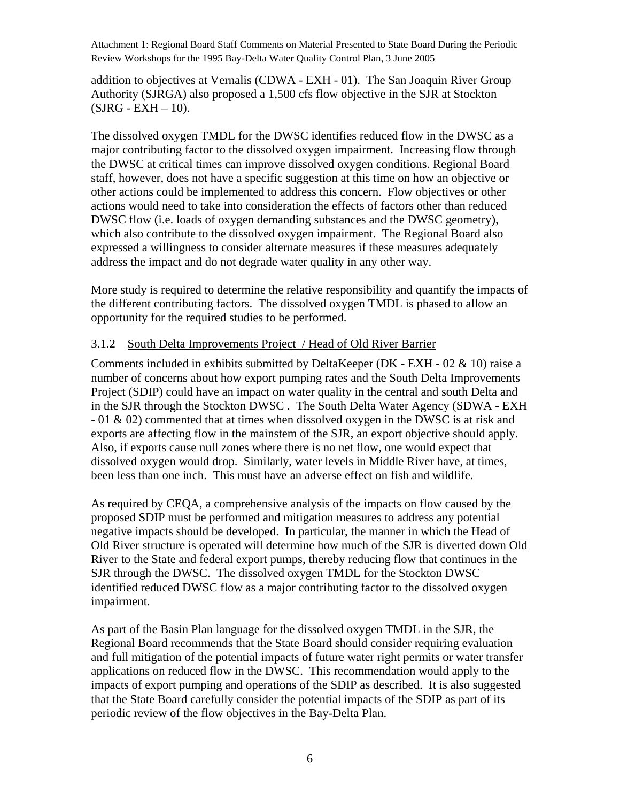<span id="page-5-0"></span>addition to objectives at Vernalis (CDWA - EXH - 01). The San Joaquin River Group Authority (SJRGA) also proposed a 1,500 cfs flow objective in the SJR at Stockton  $(SJRG - EXH - 10)$ .

The dissolved oxygen TMDL for the DWSC identifies reduced flow in the DWSC as a major contributing factor to the dissolved oxygen impairment. Increasing flow through the DWSC at critical times can improve dissolved oxygen conditions. Regional Board staff, however, does not have a specific suggestion at this time on how an objective or other actions could be implemented to address this concern. Flow objectives or other actions would need to take into consideration the effects of factors other than reduced DWSC flow (i.e. loads of oxygen demanding substances and the DWSC geometry), which also contribute to the dissolved oxygen impairment. The Regional Board also expressed a willingness to consider alternate measures if these measures adequately address the impact and do not degrade water quality in any other way.

More study is required to determine the relative responsibility and quantify the impacts of the different contributing factors. The dissolved oxygen TMDL is phased to allow an opportunity for the required studies to be performed.

#### 3.1.2 South Delta Improvements Project / Head of Old River Barrier

Comments included in exhibits submitted by DeltaKeeper (DK - EXH - 02 & 10) raise a number of concerns about how export pumping rates and the South Delta Improvements Project (SDIP) could have an impact on water quality in the central and south Delta and in the SJR through the Stockton DWSC . The South Delta Water Agency (SDWA - EXH - 01 & 02) commented that at times when dissolved oxygen in the DWSC is at risk and exports are affecting flow in the mainstem of the SJR, an export objective should apply. Also, if exports cause null zones where there is no net flow, one would expect that dissolved oxygen would drop. Similarly, water levels in Middle River have, at times, been less than one inch. This must have an adverse effect on fish and wildlife.

As required by CEQA, a comprehensive analysis of the impacts on flow caused by the proposed SDIP must be performed and mitigation measures to address any potential negative impacts should be developed. In particular, the manner in which the Head of Old River structure is operated will determine how much of the SJR is diverted down Old River to the State and federal export pumps, thereby reducing flow that continues in the SJR through the DWSC. The dissolved oxygen TMDL for the Stockton DWSC identified reduced DWSC flow as a major contributing factor to the dissolved oxygen impairment.

As part of the Basin Plan language for the dissolved oxygen TMDL in the SJR, the Regional Board recommends that the State Board should consider requiring evaluation and full mitigation of the potential impacts of future water right permits or water transfer applications on reduced flow in the DWSC. This recommendation would apply to the impacts of export pumping and operations of the SDIP as described. It is also suggested that the State Board carefully consider the potential impacts of the SDIP as part of its periodic review of the flow objectives in the Bay-Delta Plan.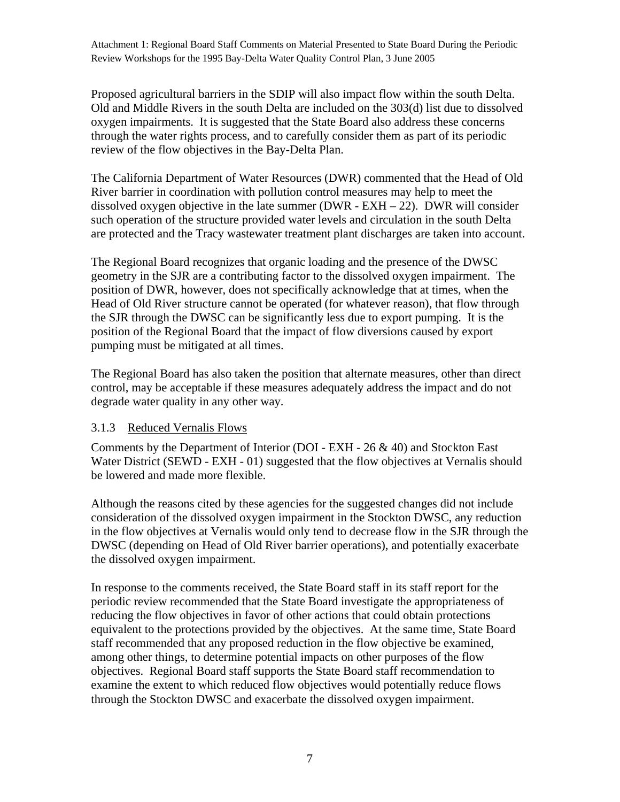<span id="page-6-0"></span>Proposed agricultural barriers in the SDIP will also impact flow within the south Delta. Old and Middle Rivers in the south Delta are included on the 303(d) list due to dissolved oxygen impairments. It is suggested that the State Board also address these concerns through the water rights process, and to carefully consider them as part of its periodic review of the flow objectives in the Bay-Delta Plan.

The California Department of Water Resources (DWR) commented that the Head of Old River barrier in coordination with pollution control measures may help to meet the dissolved oxygen objective in the late summer ( $DWR - EXH - 22$ ). DWR will consider such operation of the structure provided water levels and circulation in the south Delta are protected and the Tracy wastewater treatment plant discharges are taken into account.

The Regional Board recognizes that organic loading and the presence of the DWSC geometry in the SJR are a contributing factor to the dissolved oxygen impairment. The position of DWR, however, does not specifically acknowledge that at times, when the Head of Old River structure cannot be operated (for whatever reason), that flow through the SJR through the DWSC can be significantly less due to export pumping. It is the position of the Regional Board that the impact of flow diversions caused by export pumping must be mitigated at all times.

The Regional Board has also taken the position that alternate measures, other than direct control, may be acceptable if these measures adequately address the impact and do not degrade water quality in any other way.

#### 3.1.3 Reduced Vernalis Flows

Comments by the Department of Interior (DOI - EXH - 26 & 40) and Stockton East Water District (SEWD - EXH - 01) suggested that the flow objectives at Vernalis should be lowered and made more flexible.

Although the reasons cited by these agencies for the suggested changes did not include consideration of the dissolved oxygen impairment in the Stockton DWSC, any reduction in the flow objectives at Vernalis would only tend to decrease flow in the SJR through the DWSC (depending on Head of Old River barrier operations), and potentially exacerbate the dissolved oxygen impairment.

In response to the comments received, the State Board staff in its staff report for the periodic review recommended that the State Board investigate the appropriateness of reducing the flow objectives in favor of other actions that could obtain protections equivalent to the protections provided by the objectives. At the same time, State Board staff recommended that any proposed reduction in the flow objective be examined, among other things, to determine potential impacts on other purposes of the flow objectives. Regional Board staff supports the State Board staff recommendation to examine the extent to which reduced flow objectives would potentially reduce flows through the Stockton DWSC and exacerbate the dissolved oxygen impairment.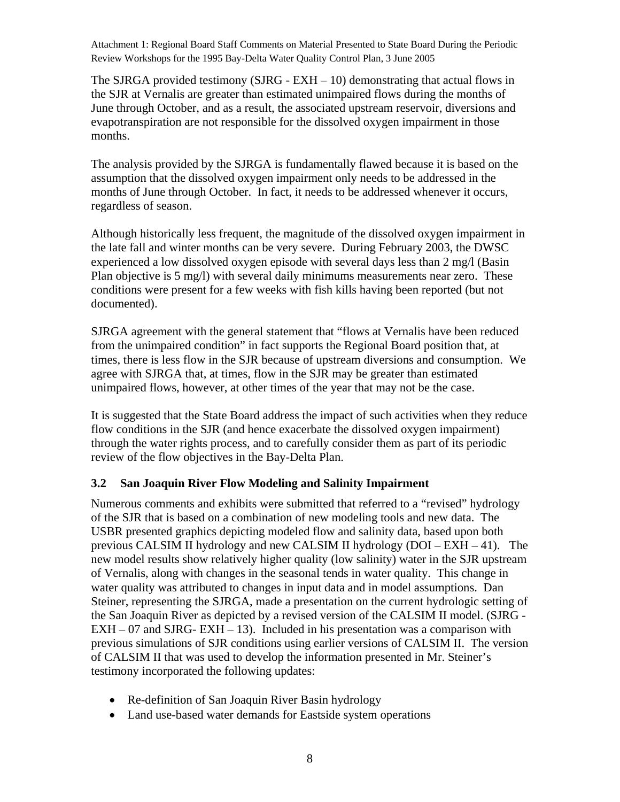<span id="page-7-0"></span>The SJRGA provided testimony (SJRG -  $EXH - 10$ ) demonstrating that actual flows in the SJR at Vernalis are greater than estimated unimpaired flows during the months of June through October, and as a result, the associated upstream reservoir, diversions and evapotranspiration are not responsible for the dissolved oxygen impairment in those months.

The analysis provided by the SJRGA is fundamentally flawed because it is based on the assumption that the dissolved oxygen impairment only needs to be addressed in the months of June through October. In fact, it needs to be addressed whenever it occurs, regardless of season.

Although historically less frequent, the magnitude of the dissolved oxygen impairment in the late fall and winter months can be very severe. During February 2003, the DWSC experienced a low dissolved oxygen episode with several days less than 2 mg/l (Basin Plan objective is 5 mg/l) with several daily minimums measurements near zero. These conditions were present for a few weeks with fish kills having been reported (but not documented).

SJRGA agreement with the general statement that "flows at Vernalis have been reduced from the unimpaired condition" in fact supports the Regional Board position that, at times, there is less flow in the SJR because of upstream diversions and consumption. We agree with SJRGA that, at times, flow in the SJR may be greater than estimated unimpaired flows, however, at other times of the year that may not be the case.

It is suggested that the State Board address the impact of such activities when they reduce flow conditions in the SJR (and hence exacerbate the dissolved oxygen impairment) through the water rights process, and to carefully consider them as part of its periodic review of the flow objectives in the Bay-Delta Plan.

#### **3.2 San Joaquin River Flow Modeling and Salinity Impairment**

Numerous comments and exhibits were submitted that referred to a "revised" hydrology of the SJR that is based on a combination of new modeling tools and new data. The USBR presented graphics depicting modeled flow and salinity data, based upon both previous CALSIM II hydrology and new CALSIM II hydrology (DOI – EXH – 41). The new model results show relatively higher quality (low salinity) water in the SJR upstream of Vernalis, along with changes in the seasonal tends in water quality. This change in water quality was attributed to changes in input data and in model assumptions. Dan Steiner, representing the SJRGA, made a presentation on the current hydrologic setting of the San Joaquin River as depicted by a revised version of the CALSIM II model. (SJRG -  $EXH - 07$  and SJRG-  $EXH - 13$ ). Included in his presentation was a comparison with previous simulations of SJR conditions using earlier versions of CALSIM II. The version of CALSIM II that was used to develop the information presented in Mr. Steiner's testimony incorporated the following updates:

- Re-definition of San Joaquin River Basin hydrology
- Land use-based water demands for Eastside system operations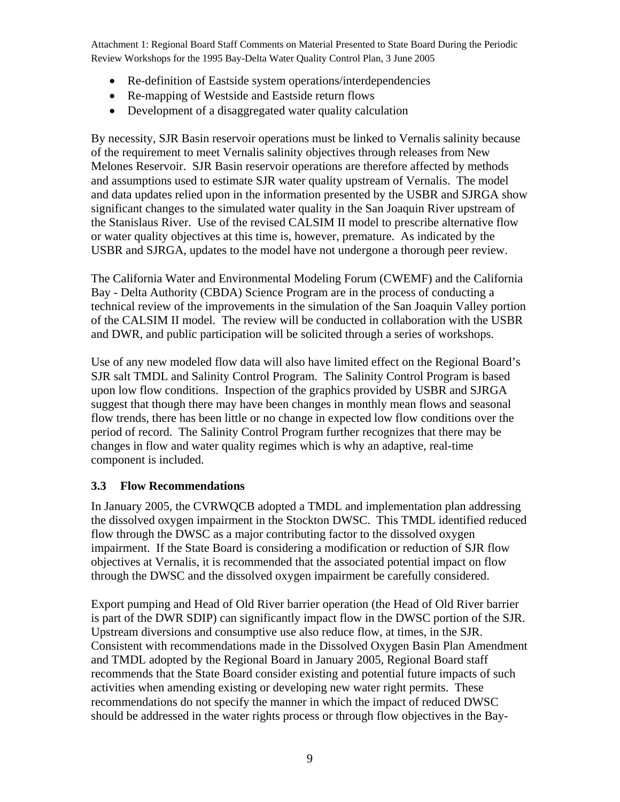- <span id="page-8-0"></span>• Re-definition of Eastside system operations/interdependencies
- Re-mapping of Westside and Eastside return flows
- Development of a disaggregated water quality calculation

By necessity, SJR Basin reservoir operations must be linked to Vernalis salinity because of the requirement to meet Vernalis salinity objectives through releases from New Melones Reservoir. SJR Basin reservoir operations are therefore affected by methods and assumptions used to estimate SJR water quality upstream of Vernalis. The model and data updates relied upon in the information presented by the USBR and SJRGA show significant changes to the simulated water quality in the San Joaquin River upstream of the Stanislaus River. Use of the revised CALSIM II model to prescribe alternative flow or water quality objectives at this time is, however, premature. As indicated by the USBR and SJRGA, updates to the model have not undergone a thorough peer review.

The California Water and Environmental Modeling Forum (CWEMF) and the California Bay - Delta Authority (CBDA) Science Program are in the process of conducting a technical review of the improvements in the simulation of the San Joaquin Valley portion of the CALSIM II model. The review will be conducted in collaboration with the USBR and DWR, and public participation will be solicited through a series of workshops.

Use of any new modeled flow data will also have limited effect on the Regional Board's SJR salt TMDL and Salinity Control Program. The Salinity Control Program is based upon low flow conditions. Inspection of the graphics provided by USBR and SJRGA suggest that though there may have been changes in monthly mean flows and seasonal flow trends, there has been little or no change in expected low flow conditions over the period of record. The Salinity Control Program further recognizes that there may be changes in flow and water quality regimes which is why an adaptive, real-time component is included.

### **3.3 Flow Recommendations**

In January 2005, the CVRWQCB adopted a TMDL and implementation plan addressing the dissolved oxygen impairment in the Stockton DWSC. This TMDL identified reduced flow through the DWSC as a major contributing factor to the dissolved oxygen impairment. If the State Board is considering a modification or reduction of SJR flow objectives at Vernalis, it is recommended that the associated potential impact on flow through the DWSC and the dissolved oxygen impairment be carefully considered.

Export pumping and Head of Old River barrier operation (the Head of Old River barrier is part of the DWR SDIP) can significantly impact flow in the DWSC portion of the SJR. Upstream diversions and consumptive use also reduce flow, at times, in the SJR. Consistent with recommendations made in the Dissolved Oxygen Basin Plan Amendment and TMDL adopted by the Regional Board in January 2005, Regional Board staff recommends that the State Board consider existing and potential future impacts of such activities when amending existing or developing new water right permits. These recommendations do not specify the manner in which the impact of reduced DWSC should be addressed in the water rights process or through flow objectives in the Bay-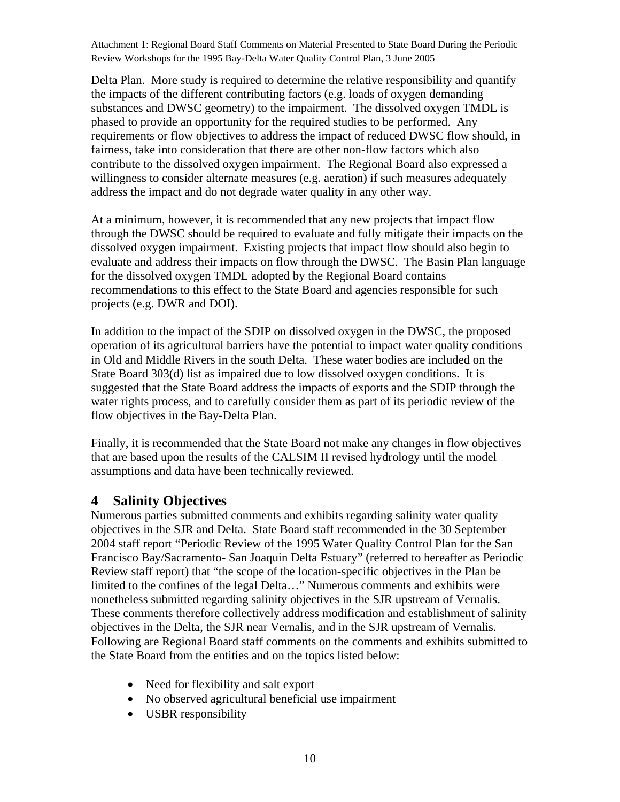<span id="page-9-0"></span>Delta Plan. More study is required to determine the relative responsibility and quantify the impacts of the different contributing factors (e.g. loads of oxygen demanding substances and DWSC geometry) to the impairment. The dissolved oxygen TMDL is phased to provide an opportunity for the required studies to be performed. Any requirements or flow objectives to address the impact of reduced DWSC flow should, in fairness, take into consideration that there are other non-flow factors which also contribute to the dissolved oxygen impairment. The Regional Board also expressed a willingness to consider alternate measures (e.g. aeration) if such measures adequately address the impact and do not degrade water quality in any other way.

At a minimum, however, it is recommended that any new projects that impact flow through the DWSC should be required to evaluate and fully mitigate their impacts on the dissolved oxygen impairment. Existing projects that impact flow should also begin to evaluate and address their impacts on flow through the DWSC. The Basin Plan language for the dissolved oxygen TMDL adopted by the Regional Board contains recommendations to this effect to the State Board and agencies responsible for such projects (e.g. DWR and DOI).

In addition to the impact of the SDIP on dissolved oxygen in the DWSC, the proposed operation of its agricultural barriers have the potential to impact water quality conditions in Old and Middle Rivers in the south Delta. These water bodies are included on the State Board 303(d) list as impaired due to low dissolved oxygen conditions. It is suggested that the State Board address the impacts of exports and the SDIP through the water rights process, and to carefully consider them as part of its periodic review of the flow objectives in the Bay-Delta Plan.

Finally, it is recommended that the State Board not make any changes in flow objectives that are based upon the results of the CALSIM II revised hydrology until the model assumptions and data have been technically reviewed.

## **4 Salinity Objectives**

Numerous parties submitted comments and exhibits regarding salinity water quality objectives in the SJR and Delta. State Board staff recommended in the 30 September 2004 staff report "Periodic Review of the 1995 Water Quality Control Plan for the San Francisco Bay/Sacramento- San Joaquin Delta Estuary" (referred to hereafter as Periodic Review staff report) that "the scope of the location-specific objectives in the Plan be limited to the confines of the legal Delta…" Numerous comments and exhibits were nonetheless submitted regarding salinity objectives in the SJR upstream of Vernalis. These comments therefore collectively address modification and establishment of salinity objectives in the Delta, the SJR near Vernalis, and in the SJR upstream of Vernalis. Following are Regional Board staff comments on the comments and exhibits submitted to the State Board from the entities and on the topics listed below:

- Need for flexibility and salt export
- No observed agricultural beneficial use impairment
- USBR responsibility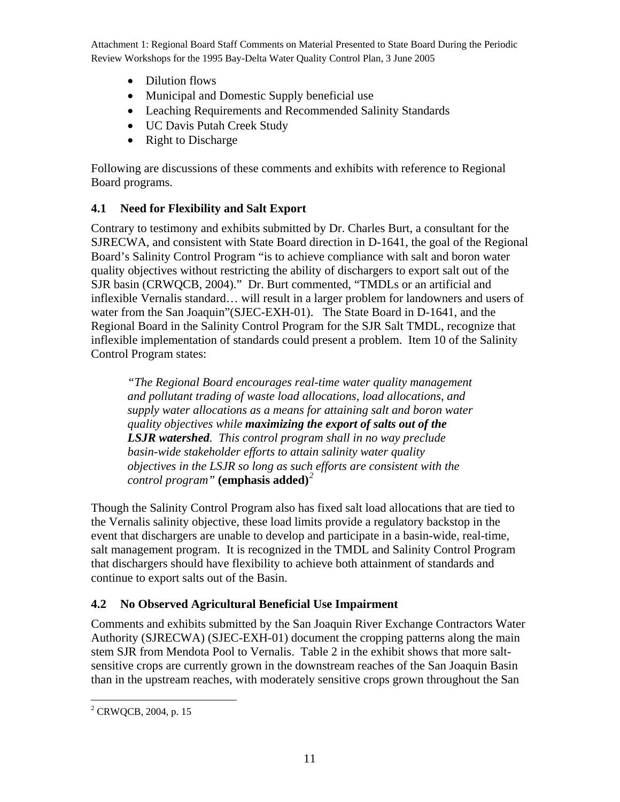- <span id="page-10-0"></span>• Dilution flows
- Municipal and Domestic Supply beneficial use
- Leaching Requirements and Recommended Salinity Standards
- UC Davis Putah Creek Study
- Right to Discharge

Following are discussions of these comments and exhibits with reference to Regional Board programs.

### **4.1 Need for Flexibility and Salt Export**

Contrary to testimony and exhibits submitted by Dr. Charles Burt, a consultant for the SJRECWA, and consistent with State Board direction in D-1641, the goal of the Regional Board's Salinity Control Program "is to achieve compliance with salt and boron water quality objectives without restricting the ability of dischargers to export salt out of the SJR basin (CRWQCB, 2004)." Dr. Burt commented, "TMDLs or an artificial and inflexible Vernalis standard… will result in a larger problem for landowners and users of water from the San Joaquin"(SJEC-EXH-01). The State Board in D-1641, and the Regional Board in the Salinity Control Program for the SJR Salt TMDL, recognize that inflexible implementation of standards could present a problem. Item 10 of the Salinity Control Program states:

*"The Regional Board encourages real-time water quality management and pollutant trading of waste load allocations, load allocations, and supply water allocations as a means for attaining salt and boron water quality objectives while maximizing the export of salts out of the LSJR watershed. This control program shall in no way preclude basin-wide stakeholder efforts to attain salinity water quality objectives in the LSJR so long as such efforts are consistent with the control program"* **(emphasis added)***[2](#page-10-1)*

Though the Salinity Control Program also has fixed salt load allocations that are tied to the Vernalis salinity objective, these load limits provide a regulatory backstop in the event that dischargers are unable to develop and participate in a basin-wide, real-time, salt management program. It is recognized in the TMDL and Salinity Control Program that dischargers should have flexibility to achieve both attainment of standards and continue to export salts out of the Basin.

## **4.2 No Observed Agricultural Beneficial Use Impairment**

Comments and exhibits submitted by the San Joaquin River Exchange Contractors Water Authority (SJRECWA) (SJEC-EXH-01) document the cropping patterns along the main stem SJR from Mendota Pool to Vernalis. Table 2 in the exhibit shows that more saltsensitive crops are currently grown in the downstream reaches of the San Joaquin Basin than in the upstream reaches, with moderately sensitive crops grown throughout the San

<span id="page-10-1"></span> 2 CRWQCB, 2004, p. 15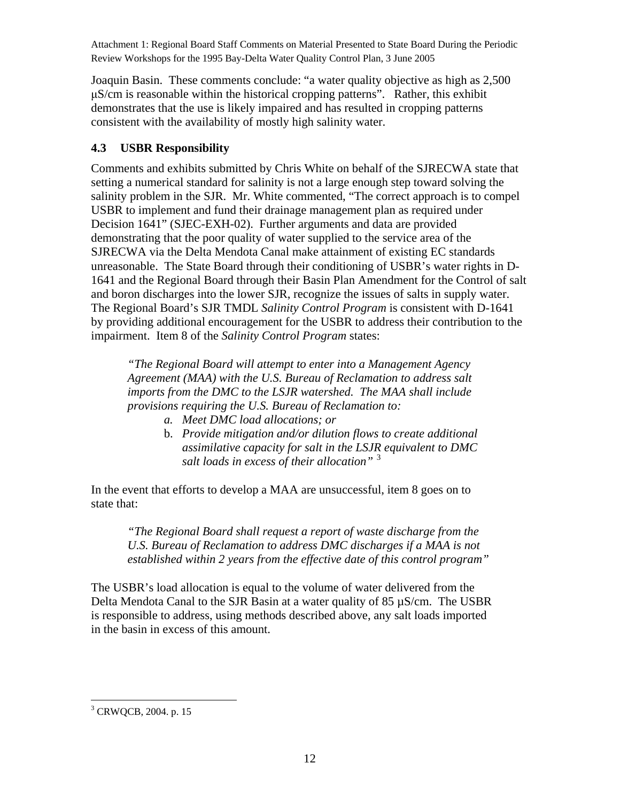<span id="page-11-0"></span>Joaquin Basin. These comments conclude: "a water quality objective as high as 2,500 μS/cm is reasonable within the historical cropping patterns". Rather, this exhibit demonstrates that the use is likely impaired and has resulted in cropping patterns consistent with the availability of mostly high salinity water.

#### **4.3 USBR Responsibility**

Comments and exhibits submitted by Chris White on behalf of the SJRECWA state that setting a numerical standard for salinity is not a large enough step toward solving the salinity problem in the SJR. Mr. White commented, "The correct approach is to compel USBR to implement and fund their drainage management plan as required under Decision 1641" (SJEC-EXH-02). Further arguments and data are provided demonstrating that the poor quality of water supplied to the service area of the SJRECWA via the Delta Mendota Canal make attainment of existing EC standards unreasonable. The State Board through their conditioning of USBR's water rights in D-1641 and the Regional Board through their Basin Plan Amendment for the Control of salt and boron discharges into the lower SJR, recognize the issues of salts in supply water. The Regional Board's SJR TMDL *Salinity Control Program* is consistent with D-1641 by providing additional encouragement for the USBR to address their contribution to the impairment. Item 8 of the *Salinity Control Program* states:

*"The Regional Board will attempt to enter into a Management Agency Agreement (MAA) with the U.S. Bureau of Reclamation to address salt imports from the DMC to the LSJR watershed. The MAA shall include provisions requiring the U.S. Bureau of Reclamation to:* 

- *a. Meet DMC load allocations; or*
- b. *Provide mitigation and/or dilution flows to create additional assimilative capacity for salt in the LSJR equivalent to DMC salt loads in excess of their allocation"* [3](#page-11-1)

In the event that efforts to develop a MAA are unsuccessful, item 8 goes on to state that:

*"The Regional Board shall request a report of waste discharge from the U.S. Bureau of Reclamation to address DMC discharges if a MAA is not established within 2 years from the effective date of this control program"* 

The USBR's load allocation is equal to the volume of water delivered from the Delta Mendota Canal to the SJR Basin at a water quality of 85 µS/cm. The USBR is responsible to address, using methods described above, any salt loads imported in the basin in excess of this amount.

<span id="page-11-1"></span> 3 CRWQCB, 2004. p. 15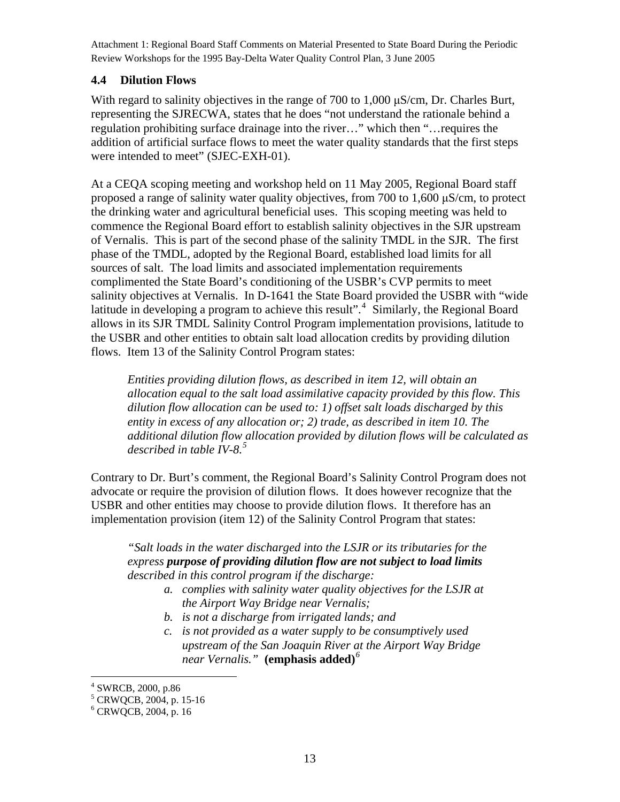#### <span id="page-12-0"></span>**4.4 Dilution Flows**

With regard to salinity objectives in the range of 700 to 1,000 μS/cm, Dr. Charles Burt, representing the SJRECWA, states that he does "not understand the rationale behind a regulation prohibiting surface drainage into the river…" which then "…requires the addition of artificial surface flows to meet the water quality standards that the first steps were intended to meet" (SJEC-EXH-01).

At a CEQA scoping meeting and workshop held on 11 May 2005, Regional Board staff proposed a range of salinity water quality objectives, from 700 to 1,600 μS/cm, to protect the drinking water and agricultural beneficial uses. This scoping meeting was held to commence the Regional Board effort to establish salinity objectives in the SJR upstream of Vernalis. This is part of the second phase of the salinity TMDL in the SJR. The first phase of the TMDL, adopted by the Regional Board, established load limits for all sources of salt. The load limits and associated implementation requirements complimented the State Board's conditioning of the USBR's CVP permits to meet salinity objectives at Vernalis. In D-1641 the State Board provided the USBR with "wide latitude in developing a program to achieve this result".<sup>[4](#page-12-1)</sup> Similarly, the Regional Board allows in its SJR TMDL Salinity Control Program implementation provisions, latitude to the USBR and other entities to obtain salt load allocation credits by providing dilution flows. Item 13 of the Salinity Control Program states:

*Entities providing dilution flows, as described in item 12, will obtain an allocation equal to the salt load assimilative capacity provided by this flow. This dilution flow allocation can be used to: 1) offset salt loads discharged by this entity in excess of any allocation or; 2) trade, as described in item 10. The additional dilution flow allocation provided by dilution flows will be calculated as described in table IV-8.[5](#page-12-2)*

Contrary to Dr. Burt's comment, the Regional Board's Salinity Control Program does not advocate or require the provision of dilution flows. It does however recognize that the USBR and other entities may choose to provide dilution flows. It therefore has an implementation provision (item 12) of the Salinity Control Program that states:

*"Salt loads in the water discharged into the LSJR or its tributaries for the express purpose of providing dilution flow are not subject to load limits described in this control program if the discharge:* 

- *a. complies with salinity water quality objectives for the LSJR at the Airport Way Bridge near Vernalis;*
- *b. is not a discharge from irrigated lands; and*
- *c. is not provided as a water supply to be consumptively used upstream of the San Joaquin River at the Airport Way Bridge near Vernalis."* **(emphasis added)***[6](#page-12-3)*

 4 SWRCB, 2000, p.86

<span id="page-12-2"></span><span id="page-12-1"></span><sup>5</sup> CRWQCB, 2004, p. 15-16

<span id="page-12-3"></span><sup>6</sup> CRWQCB, 2004, p. 16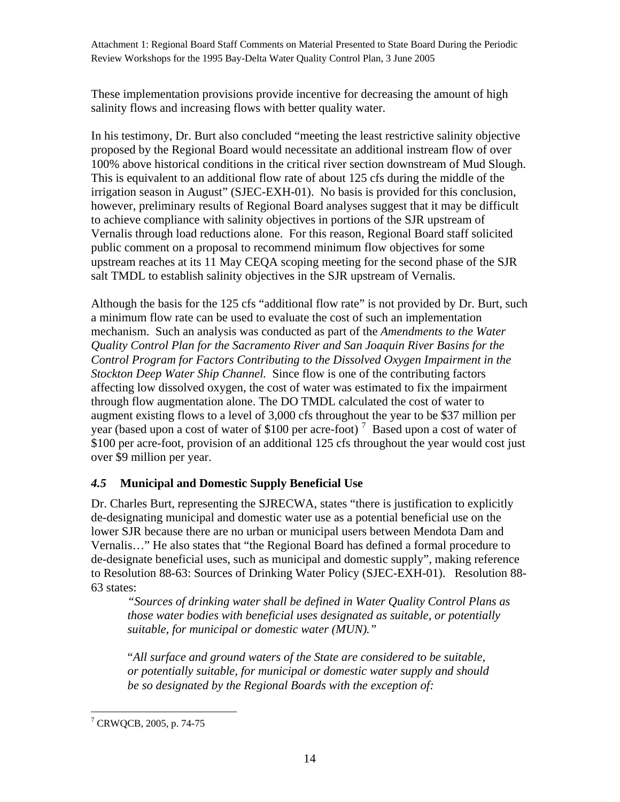<span id="page-13-0"></span>These implementation provisions provide incentive for decreasing the amount of high salinity flows and increasing flows with better quality water.

In his testimony, Dr. Burt also concluded "meeting the least restrictive salinity objective proposed by the Regional Board would necessitate an additional instream flow of over 100% above historical conditions in the critical river section downstream of Mud Slough. This is equivalent to an additional flow rate of about 125 cfs during the middle of the irrigation season in August" (SJEC-EXH-01). No basis is provided for this conclusion, however, preliminary results of Regional Board analyses suggest that it may be difficult to achieve compliance with salinity objectives in portions of the SJR upstream of Vernalis through load reductions alone. For this reason, Regional Board staff solicited public comment on a proposal to recommend minimum flow objectives for some upstream reaches at its 11 May CEQA scoping meeting for the second phase of the SJR salt TMDL to establish salinity objectives in the SJR upstream of Vernalis.

Although the basis for the 125 cfs "additional flow rate" is not provided by Dr. Burt, such a minimum flow rate can be used to evaluate the cost of such an implementation mechanism. Such an analysis was conducted as part of the *Amendments to the Water Quality Control Plan for the Sacramento River and San Joaquin River Basins for the Control Program for Factors Contributing to the Dissolved Oxygen Impairment in the Stockton Deep Water Ship Channel.* Since flow is one of the contributing factors affecting low dissolved oxygen, the cost of water was estimated to fix the impairment through flow augmentation alone. The DO TMDL calculated the cost of water to augment existing flows to a level of 3,000 cfs throughout the year to be \$37 million per year (based upon a cost of water of \$100 per acre-foot)<sup>[7](#page-13-1)</sup> Based upon a cost of water of \$100 per acre-foot, provision of an additional 125 cfs throughout the year would cost just over \$9 million per year.

### *4.5* **Municipal and Domestic Supply Beneficial Use**

Dr. Charles Burt, representing the SJRECWA, states "there is justification to explicitly de-designating municipal and domestic water use as a potential beneficial use on the lower SJR because there are no urban or municipal users between Mendota Dam and Vernalis…" He also states that "the Regional Board has defined a formal procedure to de-designate beneficial uses, such as municipal and domestic supply", making reference to Resolution 88-63: Sources of Drinking Water Policy (SJEC-EXH-01). Resolution 88- 63 states:

*"Sources of drinking water shall be defined in Water Quality Control Plans as those water bodies with beneficial uses designated as suitable, or potentially suitable, for municipal or domestic water (MUN)."*

"*All surface and ground waters of the State are considered to be suitable, or potentially suitable, for municipal or domestic water supply and should be so designated by the Regional Boards with the exception of:* 

<span id="page-13-1"></span> 7 CRWQCB, 2005, p. 74-75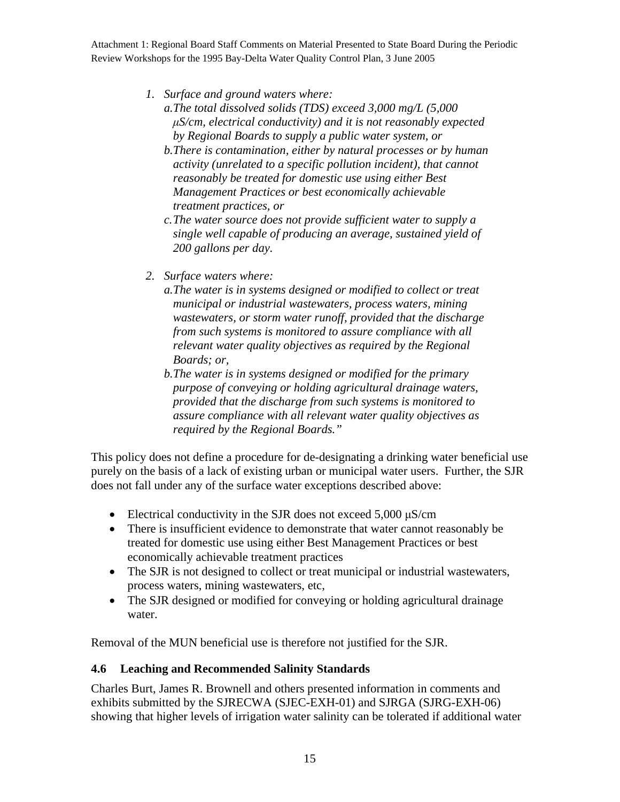- <span id="page-14-0"></span>*1. Surface and ground waters where:* 
	- *a.The total dissolved solids (TDS) exceed 3,000 mg/L (5,000 μS/cm, electrical conductivity) and it is not reasonably expected by Regional Boards to supply a public water system, or*
	- *b.There is contamination, either by natural processes or by human activity (unrelated to a specific pollution incident), that cannot reasonably be treated for domestic use using either Best Management Practices or best economically achievable treatment practices, or*
	- *c. The water source does not provide sufficient water to supply a single well capable of producing an average, sustained yield of 200 gallons per day.*
- *2. Surface waters where:* 
	- *a.The water is in systems designed or modified to collect or treat municipal or industrial wastewaters, process waters, mining wastewaters, or storm water runoff, provided that the discharge from such systems is monitored to assure compliance with all relevant water quality objectives as required by the Regional Boards; or,*
	- *b.The water is in systems designed or modified for the primary purpose of conveying or holding agricultural drainage waters, provided that the discharge from such systems is monitored to assure compliance with all relevant water quality objectives as required by the Regional Boards."*

This policy does not define a procedure for de-designating a drinking water beneficial use purely on the basis of a lack of existing urban or municipal water users. Further, the SJR does not fall under any of the surface water exceptions described above:

- Electrical conductivity in the SJR does not exceed  $5,000 \mu S/cm$
- There is insufficient evidence to demonstrate that water cannot reasonably be treated for domestic use using either Best Management Practices or best economically achievable treatment practices
- The SJR is not designed to collect or treat municipal or industrial wastewaters, process waters, mining wastewaters, etc,
- The SJR designed or modified for conveying or holding agricultural drainage water.

Removal of the MUN beneficial use is therefore not justified for the SJR.

### **4.6 Leaching and Recommended Salinity Standards**

Charles Burt, James R. Brownell and others presented information in comments and exhibits submitted by the SJRECWA (SJEC-EXH-01) and SJRGA (SJRG-EXH-06) showing that higher levels of irrigation water salinity can be tolerated if additional water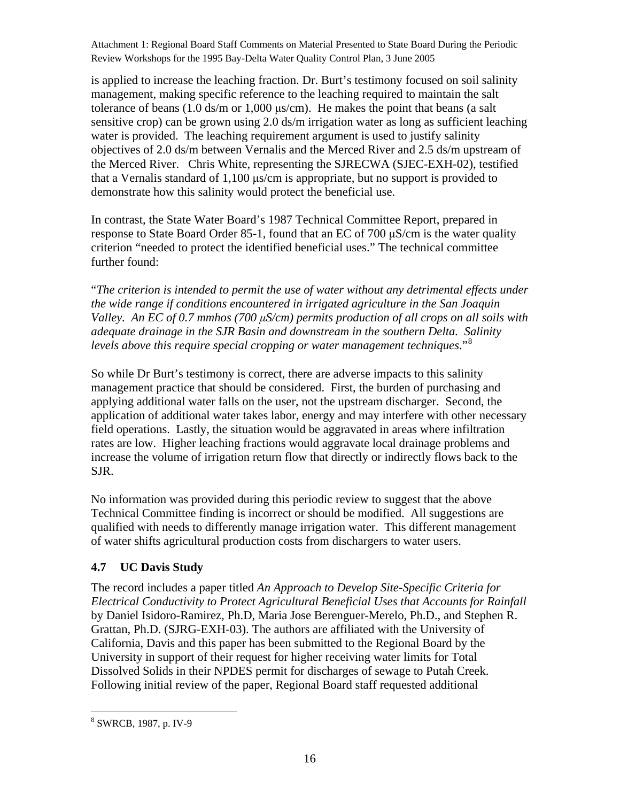<span id="page-15-0"></span>is applied to increase the leaching fraction. Dr. Burt's testimony focused on soil salinity management, making specific reference to the leaching required to maintain the salt tolerance of beans  $(1.0 \text{ ds/m or } 1,000 \text{ µs/cm})$ . He makes the point that beans (a salt sensitive crop) can be grown using 2.0 ds/m irrigation water as long as sufficient leaching water is provided. The leaching requirement argument is used to justify salinity objectives of 2.0 ds/m between Vernalis and the Merced River and 2.5 ds/m upstream of the Merced River. Chris White, representing the SJRECWA (SJEC-EXH-02), testified that a Vernalis standard of 1,100 μs/cm is appropriate, but no support is provided to demonstrate how this salinity would protect the beneficial use.

In contrast, the State Water Board's 1987 Technical Committee Report, prepared in response to State Board Order 85-1, found that an EC of 700 μS/cm is the water quality criterion "needed to protect the identified beneficial uses." The technical committee further found:

"*The criterion is intended to permit the use of water without any detrimental effects under the wide range if conditions encountered in irrigated agriculture in the San Joaquin Valley. An EC of 0.7 mmhos (700 μS/cm) permits production of all crops on all soils with adequate drainage in the SJR Basin and downstream in the southern Delta. Salinity levels above this require special cropping or water management techniques*."[8](#page-15-1)

So while Dr Burt's testimony is correct, there are adverse impacts to this salinity management practice that should be considered. First, the burden of purchasing and applying additional water falls on the user, not the upstream discharger. Second, the application of additional water takes labor, energy and may interfere with other necessary field operations. Lastly, the situation would be aggravated in areas where infiltration rates are low. Higher leaching fractions would aggravate local drainage problems and increase the volume of irrigation return flow that directly or indirectly flows back to the SJR.

No information was provided during this periodic review to suggest that the above Technical Committee finding is incorrect or should be modified. All suggestions are qualified with needs to differently manage irrigation water. This different management of water shifts agricultural production costs from dischargers to water users.

### **4.7 UC Davis Study**

The record includes a paper titled *An Approach to Develop Site-Specific Criteria for Electrical Conductivity to Protect Agricultural Beneficial Uses that Accounts for Rainfall*  by Daniel Isidoro-Ramirez, Ph.D, Maria Jose Berenguer-Merelo, Ph.D., and Stephen R. Grattan, Ph.D. (SJRG-EXH-03). The authors are affiliated with the University of California, Davis and this paper has been submitted to the Regional Board by the University in support of their request for higher receiving water limits for Total Dissolved Solids in their NPDES permit for discharges of sewage to Putah Creek. Following initial review of the paper, Regional Board staff requested additional

<span id="page-15-1"></span> 8 SWRCB, 1987, p. IV-9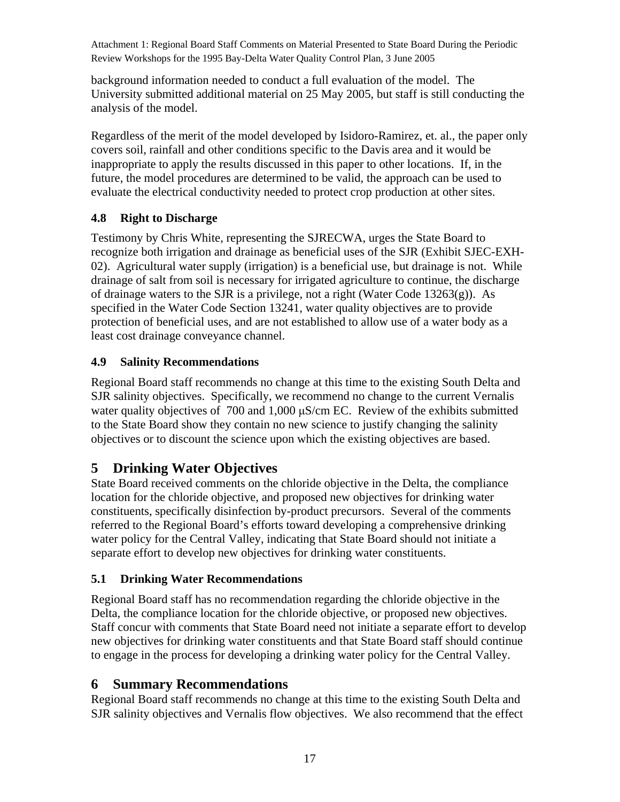<span id="page-16-0"></span>background information needed to conduct a full evaluation of the model. The University submitted additional material on 25 May 2005, but staff is still conducting the analysis of the model.

Regardless of the merit of the model developed by Isidoro-Ramirez, et. al., the paper only covers soil, rainfall and other conditions specific to the Davis area and it would be inappropriate to apply the results discussed in this paper to other locations. If, in the future, the model procedures are determined to be valid, the approach can be used to evaluate the electrical conductivity needed to protect crop production at other sites.

### **4.8 Right to Discharge**

Testimony by Chris White, representing the SJRECWA, urges the State Board to recognize both irrigation and drainage as beneficial uses of the SJR (Exhibit SJEC-EXH-02). Agricultural water supply (irrigation) is a beneficial use, but drainage is not. While drainage of salt from soil is necessary for irrigated agriculture to continue, the discharge of drainage waters to the SJR is a privilege, not a right (Water Code  $13263(g)$ ). As specified in the Water Code Section 13241, water quality objectives are to provide protection of beneficial uses, and are not established to allow use of a water body as a least cost drainage conveyance channel.

### **4.9 Salinity Recommendations**

Regional Board staff recommends no change at this time to the existing South Delta and SJR salinity objectives. Specifically, we recommend no change to the current Vernalis water quality objectives of 700 and 1,000 μS/cm EC. Review of the exhibits submitted to the State Board show they contain no new science to justify changing the salinity objectives or to discount the science upon which the existing objectives are based.

# **5 Drinking Water Objectives**

State Board received comments on the chloride objective in the Delta, the compliance location for the chloride objective, and proposed new objectives for drinking water constituents, specifically disinfection by-product precursors. Several of the comments referred to the Regional Board's efforts toward developing a comprehensive drinking water policy for the Central Valley, indicating that State Board should not initiate a separate effort to develop new objectives for drinking water constituents.

## **5.1 Drinking Water Recommendations**

Regional Board staff has no recommendation regarding the chloride objective in the Delta, the compliance location for the chloride objective, or proposed new objectives. Staff concur with comments that State Board need not initiate a separate effort to develop new objectives for drinking water constituents and that State Board staff should continue to engage in the process for developing a drinking water policy for the Central Valley.

# **6 Summary Recommendations**

Regional Board staff recommends no change at this time to the existing South Delta and SJR salinity objectives and Vernalis flow objectives. We also recommend that the effect